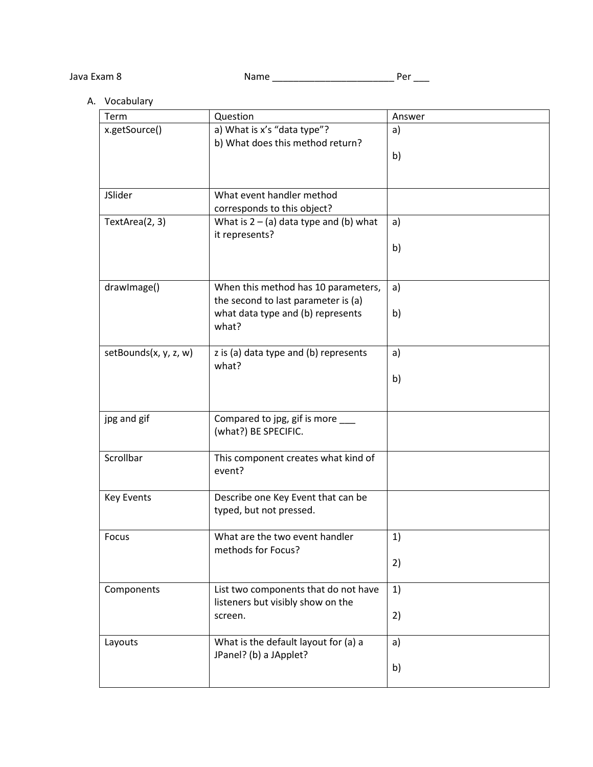Java Exam 8 Name \_\_\_\_\_\_\_\_\_\_\_\_\_\_\_\_\_\_\_\_\_\_\_ Per \_\_\_

A. Vocabulary

| Term                  | Question                                                                   | Answer   |
|-----------------------|----------------------------------------------------------------------------|----------|
| x.getSource()         | a) What is x's "data type"?<br>b) What does this method return?            | a)<br>b) |
|                       |                                                                            |          |
| JSlider               | What event handler method<br>corresponds to this object?                   |          |
| TextArea(2, 3)        | What is $2 - (a)$ data type and (b) what<br>it represents?                 | a)       |
|                       |                                                                            | b)       |
| drawlmage()           | When this method has 10 parameters,<br>the second to last parameter is (a) | a)       |
|                       | what data type and (b) represents<br>what?                                 | b)       |
| setBounds(x, y, z, w) | z is (a) data type and (b) represents<br>what?                             | a)       |
|                       |                                                                            | b)       |
| jpg and gif           | Compared to jpg, gif is more ___<br>(what?) BE SPECIFIC.                   |          |
| Scrollbar             | This component creates what kind of<br>event?                              |          |
| <b>Key Events</b>     | Describe one Key Event that can be<br>typed, but not pressed.              |          |
| Focus                 | What are the two event handler<br>methods for Focus?                       | 1)       |
|                       |                                                                            | 2)       |
| Components            | List two components that do not have<br>listeners but visibly show on the  | 1)       |
|                       | screen.                                                                    | 2)       |
| Layouts               | What is the default layout for (a) a<br>JPanel? (b) a JApplet?             | a)       |
|                       |                                                                            | b)       |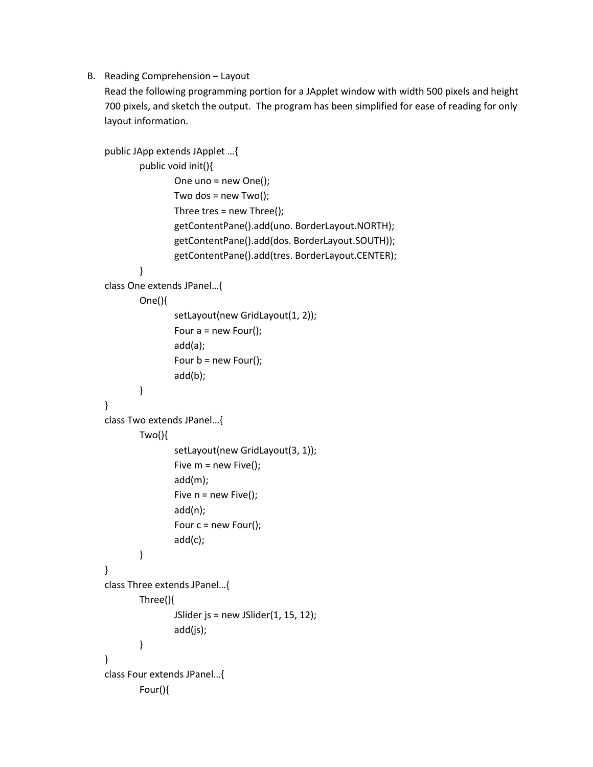## B. Reading Comprehension – Layout

Read the following programming portion for a JApplet window with width 500 pixels and height 700 pixels, and sketch the output. The program has been simplified for ease of reading for only layout information.

```
public JApp extends JApplet …{
       public void init(){
               One uno = new One();
               Two dos = new Two();
               Three tres = new Three();
               getContentPane().add(uno. BorderLayout.NORTH);
               getContentPane().add(dos. BorderLayout.SOUTH));
               getContentPane().add(tres. BorderLayout.CENTER);
       }
class One extends JPanel…{
       One(){
               setLayout(new GridLayout(1, 2));
               Four a = new Four();
               add(a);
               Four b = new Four();
               add(b);
       }
}
class Two extends JPanel…{
       Two(){
               setLayout(new GridLayout(3, 1));
               Five m = new Five();
               add(m);
               Five n = new Five();
               add(n);
               Four c = new Four();
               add(c);
       }
}
class Three extends JPanel…{
       Three(){
               JSlider js = new JSlider(1, 15, 12);
               add(js);
       }
}
class Four extends JPanel…{
       Four(){
```